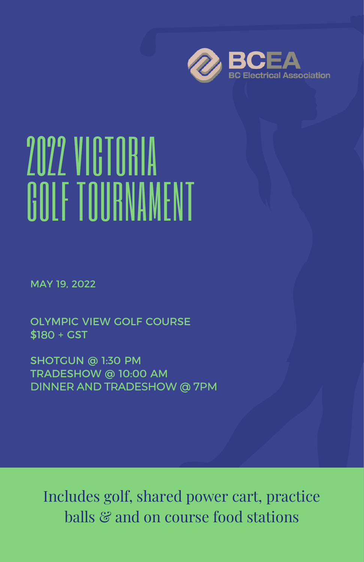

# 2022 VICTORIA GOLF TOURNAMENT

MAY 19, 2022

OLYMPIC VIEW GOLF COURSE \$180 + GST

SHOTGUN @ 1:30 PM TRADESHOW @ 10:00 AM DINNER AND TRADESHOW @ 7PM

Includes golf, shared power cart, practice balls & and on course food stations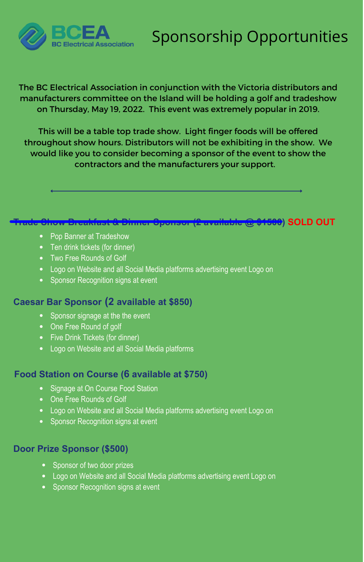## Sponsorship Opportunities



The BC Electrical Association in conjunction with the Victoria distributors and manufacturers committee on the Island will be holding a golf and tradeshow on Thursday, May 19, 2022. This event was extremely popular in 2019.

This will be a table top trade show. Light finger foods will be offered throughout show hours. Distributors will not be exhibiting in the show. We would like you to consider becoming a sponsor of the event to show the contractors and the manufacturers your support.

### **Trade Show Breakfast & Dinner Sponsor (2 available @ \$1500) SOLD OUT**

- Pop Banner at Tradeshow
- Ten drink tickets (for dinner)
- Two Free Rounds of Golf
- Logo on Website and all Social Media platforms advertising event Logo on
- Sponsor Recognition signs at event

#### **Caesar Bar Sponsor (2 available at \$850)**

- Sponsor signage at the the event
- One Free Round of golf
- Five Drink Tickets (for dinner)
- Logo on Website and all Social Media platforms

#### **Food Station on Course (6 available at \$750)**

- Signage at On Course Food Station
- One Free Rounds of Golf
- Logo on Website and all Social Media platforms advertising event Logo on
- Sponsor Recognition signs at event

#### **Door Prize Sponsor (\$500)**

- Sponsor of two door prizes
- Logo on Website and all Social Media platforms advertising event Logo on
- Sponsor Recognition signs at event